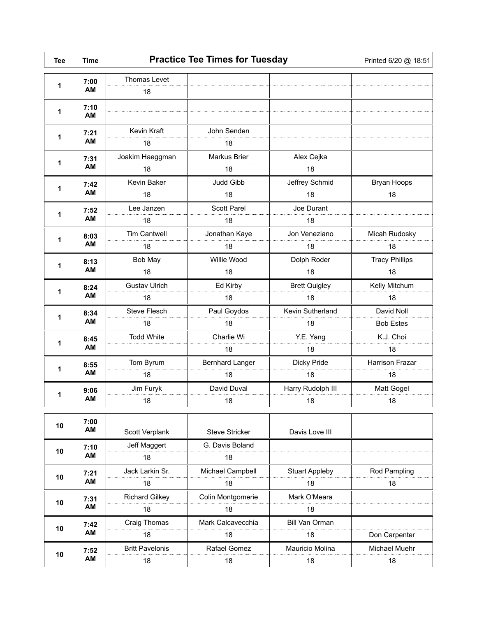| <b>Tee</b> | <b>Time</b> | <b>Practice Tee Times for Tuesday</b> |                    |                       | Printed 6/20 @ 18:51   |
|------------|-------------|---------------------------------------|--------------------|-----------------------|------------------------|
| 1          | 7:00        | Thomas Levet                          |                    |                       |                        |
|            | AM          | 18                                    |                    |                       |                        |
| 1          | 7:10<br>AM  |                                       |                    |                       |                        |
| 1          | 7:21<br>AM  | Kevin Kraft                           | John Senden        |                       |                        |
|            |             | 18                                    | 18                 |                       |                        |
| 1          | 7:31<br>AM  | Joakim Haeggman                       | Markus Brier       | Alex Cejka            |                        |
|            |             | 18                                    | 18                 | 18                    |                        |
| 1          | 7:42<br>AM  | Kevin Baker                           | Judd Gibb          | Jeffrey Schmid        | Bryan Hoops            |
|            |             | 18                                    | 18                 | 18                    | 18                     |
|            | 7:52        | Lee Janzen                            | <b>Scott Parel</b> | Joe Durant            |                        |
| 1          | AM          | 18                                    | 18                 | 18                    |                        |
|            | 8:03        | <b>Tim Cantwell</b>                   | Jonathan Kaye      | Jon Veneziano         | Micah Rudosky          |
| 1          | AM          | 18                                    | 18                 | 18                    | 18                     |
|            | 8:13<br>AM  | Bob May                               | Willie Wood        | Dolph Roder           | <b>Tracy Phillips</b>  |
| 1          |             | 18                                    | 18                 | 18                    | 18                     |
| 1          | 8:24<br>AM  | <b>Gustav Ulrich</b>                  | Ed Kirby           | <b>Brett Quigley</b>  | Kelly Mitchum          |
|            |             | 18                                    | 18                 | 18                    | 18                     |
|            | 8:34<br>AM  | Steve Flesch                          | Paul Goydos        | Kevin Sutherland      | David Noll             |
| 1          |             | 18                                    | 18                 | 18                    | <b>Bob Estes</b>       |
|            | 8:45<br>AM  | <b>Todd White</b>                     | Charlie Wi         | Y.E. Yang             | K.J. Choi              |
| 1          |             |                                       | 18                 | 18                    | 18                     |
|            | 8:55<br>AM  | Tom Byrum                             | Bernhard Langer    | Dicky Pride           | <b>Harrison Frazar</b> |
| 1          |             | 18                                    | 18                 | 18                    | 18                     |
|            | 9:06<br>AM  | Jim Furyk                             | David Duval        | Harry Rudolph III     | Matt Gogel             |
| 1          |             | 18                                    | 18                 | 18                    | 18                     |
|            | 7:00        |                                       |                    |                       |                        |
| 10         | AM          | Scott Verplank                        | Steve Stricker     | Davis Love III        |                        |
| 10         | 7:10<br>AM  | Jeff Maggert                          | G. Davis Boland    |                       |                        |
|            |             | 18                                    | 18                 |                       |                        |
| 10         | 7:21<br>AM  | Jack Larkin Sr.                       | Michael Campbell   | <b>Stuart Appleby</b> | Rod Pampling           |
|            |             | 18                                    | 18                 | 18                    | 18                     |
|            | 7:31<br>AM  | <b>Richard Gilkey</b>                 | Colin Montgomerie  | Mark O'Meara          |                        |
| 10         |             | 18                                    | 18                 | 18                    |                        |
|            | 7:42<br>AM  | Craig Thomas                          | Mark Calcavecchia  | Bill Van Orman        |                        |
| 10         |             | 18                                    | 18                 | 18                    | Don Carpenter          |
|            |             | <b>Britt Pavelonis</b>                | Rafael Gomez       | Mauricio Molina       | Michael Muehr          |
| 10         | 7:52<br>AM  | 18                                    | 18                 | 18                    | 18                     |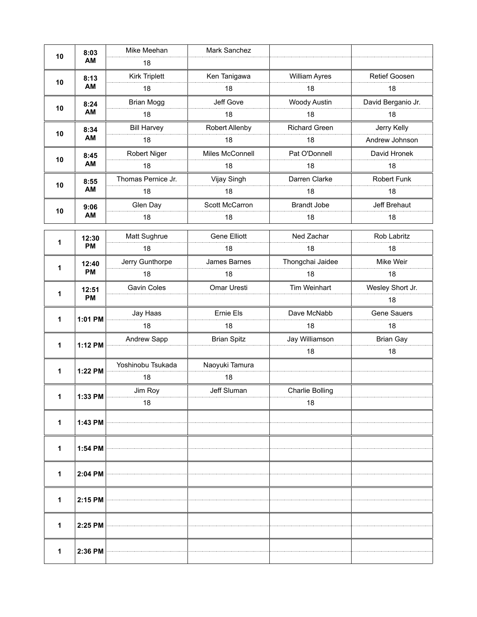| 10           | 8:03      | Mike Meehan        | Mark Sanchez        |                      |                    |
|--------------|-----------|--------------------|---------------------|----------------------|--------------------|
|              | AM        | 18                 |                     |                      |                    |
| 10           | 8:13      | Kirk Triplett      | Ken Tanigawa        | <b>William Ayres</b> | Retief Goosen      |
|              | AM        | 18                 | 18                  | 18                   | 18                 |
| 10           | 8:24      | <b>Brian Mogg</b>  | Jeff Gove           | Woody Austin         | David Berganio Jr. |
|              | AM        | 18                 | 18                  | 18                   | 18                 |
| 10           | 8:34      | <b>Bill Harvey</b> | Robert Allenby      | <b>Richard Green</b> | Jerry Kelly        |
|              | AM        | 18                 | 18                  | 18                   | Andrew Johnson     |
| 10           | 8:45      | Robert Niger       | Miles McConnell     | Pat O'Donnell        | David Hronek       |
|              | AM        | 18                 | 18                  | 18                   | 18                 |
| 10           | 8:55      | Thomas Pernice Jr. | Vijay Singh         | Darren Clarke        | Robert Funk        |
|              | AM        | 18                 | 18                  | 18                   | 18                 |
| 10           | 9:06      | Glen Day           | Scott McCarron      | <b>Brandt Jobe</b>   | Jeff Brehaut       |
|              | AM        | 18                 | 18                  | 18                   | 18                 |
|              | 12:30     | Matt Sughrue       | <b>Gene Elliott</b> | Ned Zachar           | Rob Labritz        |
| 1            | PM        | 18                 | 18                  | 18                   | 18                 |
| 1            | 12:40     | Jerry Gunthorpe    | James Barnes        | Thongchai Jaidee     | Mike Weir          |
|              | <b>PM</b> | 18                 | 18                  | 18                   | 18                 |
|              | 12:51     | Gavin Coles        | Omar Uresti         | Tim Weinhart         | Wesley Short Jr.   |
| 1            | <b>PM</b> |                    |                     |                      | 18                 |
|              |           |                    |                     |                      |                    |
|              |           | Jay Haas           | Ernie Els           | Dave McNabb          | Gene Sauers        |
| 1            | 1:01 PM   | 18                 | 18                  | 18                   | 18                 |
|              |           | Andrew Sapp        | <b>Brian Spitz</b>  | Jay Williamson       | <b>Brian Gay</b>   |
| 1            | 1:12 PM   |                    |                     | 18                   | 18                 |
|              |           | Yoshinobu Tsukada  | Naoyuki Tamura      |                      |                    |
| 1            | 1:22 PM   | 18                 | 18                  |                      |                    |
|              |           | Jim Rov            | Jeff Sluman         | Charlie Bolling      |                    |
| 1            | 1:33 PM   | 18                 |                     | 18                   |                    |
|              |           |                    |                     |                      |                    |
| 1            | 1:43 PM   |                    |                     |                      |                    |
| 1            |           |                    |                     |                      |                    |
|              | 1:54 PM   |                    |                     |                      |                    |
| 1            | 2:04 PM   |                    |                     |                      |                    |
|              |           |                    |                     |                      |                    |
| $\mathbf{1}$ | 2:15 PM   |                    |                     |                      |                    |
|              |           |                    |                     |                      |                    |
| 1            | 2:25 PM   |                    |                     |                      |                    |
|              |           |                    |                     |                      |                    |
| 1            | 2:36 PM   |                    |                     |                      |                    |